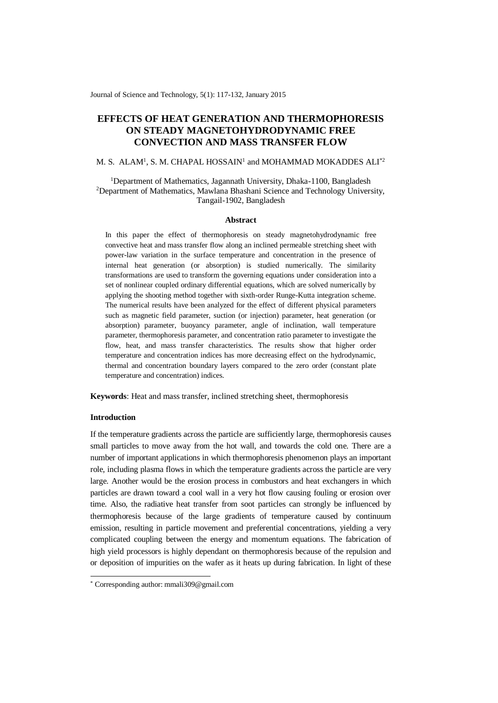Journal of Science and Technology, 5(1): 117-132, January 2015

# **EFFECTS OF HEAT GENERATION AND THERMOPHORESIS ON STEADY MAGNETOHYDRODYNAMIC FREE CONVECTION AND MASS TRANSFER FLOW**

#### M. S.  $ALAM<sup>1</sup>$ , S. M. CHAPAL HOSSAIN<sup>1</sup> and MOHAMMAD MOKADDES ALI $^{\ast 2}$

## <sup>1</sup>Department of Mathematics, Jagannath University, Dhaka-1100, Bangladesh <sup>2</sup>Department of Mathematics, Mawlana Bhashani Science and Technology University, Tangail-1902, Bangladesh

#### **Abstract**

In this paper the effect of thermophoresis on steady magnetohydrodynamic free convective heat and mass transfer flow along an inclined permeable stretching sheet with power-law variation in the surface temperature and concentration in the presence of internal heat generation (or absorption) is studied numerically. The similarity transformations are used to transform the governing equations under consideration into a set of nonlinear coupled ordinary differential equations, which are solved numerically by applying the shooting method together with sixth-order Runge-Kutta integration scheme. The numerical results have been analyzed for the effect of different physical parameters such as magnetic field parameter, suction (or injection) parameter, heat generation (or absorption) parameter, buoyancy parameter, angle of inclination, wall temperature parameter, thermophoresis parameter, and concentration ratio parameter to investigate the flow, heat, and mass transfer characteristics. The results show that higher order temperature and concentration indices has more decreasing effect on the hydrodynamic, thermal and concentration boundary layers compared to the zero order (constant plate temperature and concentration) indices.

**Keywords**: Heat and mass transfer, inclined stretching sheet, thermophoresis

## **Introduction**

-

If the temperature gradients across the particle are sufficiently large, thermophoresis causes small particles to move away from the hot wall, and towards the cold one. There are a number of important applications in which thermophoresis phenomenon plays an important role, including plasma flows in which the temperature gradients across the particle are very large. Another would be the erosion process in combustors and heat exchangers in which particles are drawn toward a cool wall in a very hot flow causing fouling or erosion over time. Also, the radiative heat transfer from soot particles can strongly be influenced by thermophoresis because of the large gradients of temperature caused by continuum emission, resulting in particle movement and preferential concentrations, yielding a very complicated coupling between the energy and momentum equations. The fabrication of high yield processors is highly dependant on thermophoresis because of the repulsion and or deposition of impurities on the wafer as it heats up during fabrication. In light of these

<sup>\*</sup> Corresponding author: mmali309@gmail.com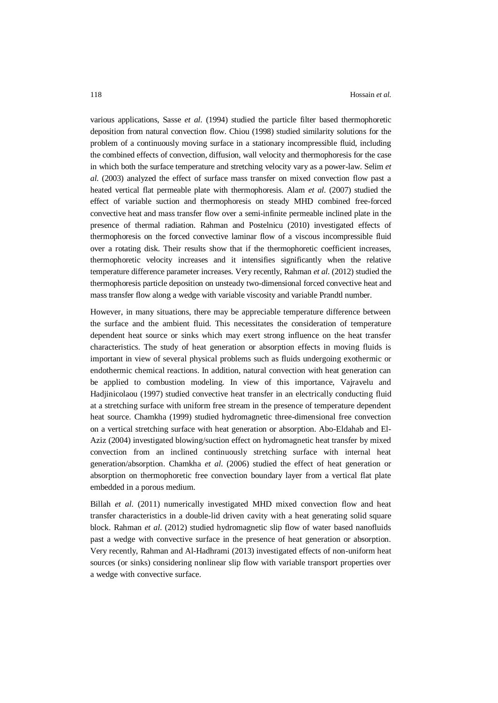various applications, Sasse *et al*. (1994) studied the particle filter based thermophoretic deposition from natural convection flow. Chiou (1998) studied similarity solutions for the problem of a continuously moving surface in a stationary incompressible fluid, including the combined effects of convection, diffusion, wall velocity and thermophoresis for the case in which both the surface temperature and stretching velocity vary as a power-law. Selim *et al*. (2003) analyzed the effect of surface mass transfer on mixed convection flow past a heated vertical flat permeable plate with thermophoresis. Alam *et al*. (2007) studied the effect of variable suction and thermophoresis on steady MHD combined free-forced convective heat and mass transfer flow over a semi-infinite permeable inclined plate in the presence of thermal radiation. Rahman and Postelnicu (2010) investigated effects of thermophoresis on the forced convective laminar flow of a viscous incompressible fluid over a rotating disk. Their results show that if the thermophoretic coefficient increases, thermophoretic velocity increases and it intensifies significantly when the relative temperature difference parameter increases. Very recently, Rahman *et al*. (2012) studied the thermophoresis particle deposition on unsteady two-dimensional forced convective heat and mass transfer flow along a wedge with variable viscosity and variable Prandtl number.

However, in many situations, there may be appreciable temperature difference between the surface and the ambient fluid. This necessitates the consideration of temperature dependent heat source or sinks which may exert strong influence on the heat transfer characteristics. The study of heat generation or absorption effects in moving fluids is important in view of several physical problems such as fluids undergoing exothermic or endothermic chemical reactions. In addition, natural convection with heat generation can be applied to combustion modeling. In view of this importance, Vajravelu and Hadjinicolaou (1997) studied convective heat transfer in an electrically conducting fluid at a stretching surface with uniform free stream in the presence of temperature dependent heat source. Chamkha (1999) studied hydromagnetic three-dimensional free convection on a vertical stretching surface with heat generation or absorption. Abo-Eldahab and El-Aziz (2004) investigated blowing/suction effect on hydromagnetic heat transfer by mixed convection from an inclined continuously stretching surface with internal heat generation/absorption. Chamkha *et al*. (2006) studied the effect of heat generation or absorption on thermophoretic free convection boundary layer from a vertical flat plate embedded in a porous medium.

Billah *et al*. (2011) numerically investigated MHD mixed convection flow and heat transfer characteristics in a double-lid driven cavity with a heat generating solid square block. Rahman *et al*. (2012) studied hydromagnetic slip flow of water based nanofluids past a wedge with convective surface in the presence of heat generation or absorption. Very recently, Rahman and Al-Hadhrami (2013) investigated effects of non-uniform heat sources (or sinks) considering nonlinear slip flow with variable transport properties over a wedge with convective surface.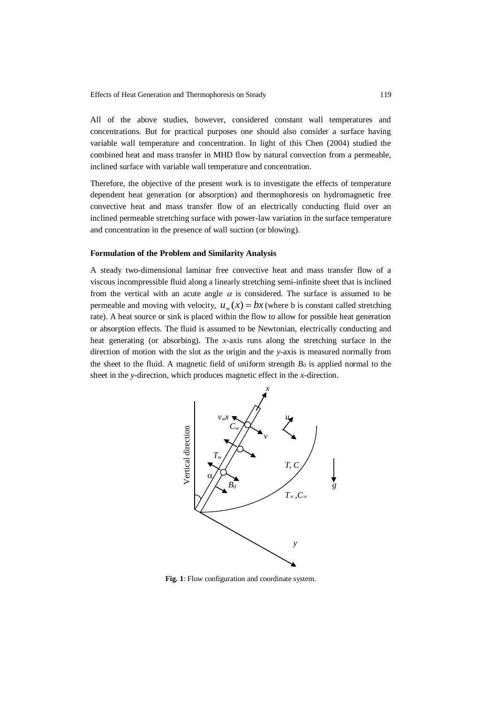All of the above studies, however, considered constant wall temperatures and concentrations. But for practical purposes one should also consider a surface having variable wall temperature and concentration. In light of this Chen (2004) studied the combined heat and mass transfer in MHD flow by natural convection from a permeable, inclined surface with variable wall temperature and concentration.

Therefore, the objective of the present work is to investigate the effects of temperature dependent heat generation (or absorption) and thermophoresis on hydromagnetic free convective heat and mass transfer flow of an electrically conducting fluid over an inclined permeable stretching surface with power-law variation in the surface temperature and concentration in the presence of wall suction (or blowing).

#### **Formulation of the Problem and Similarity Analysis**

A steady two-dimensional laminar free convective heat and mass transfer flow of a viscous incompressible fluid along a linearly stretching semi-infinite sheet that is inclined from the vertical with an acute angle  $\alpha$  is considered. The surface is assumed to be permeable and moving with velocity,  $u_w(x) = bx$  (where b is constant called stretching rate). A heat source or sink is placed within the flow to allow for possible heat generation or absorption effects. The fluid is assumed to be Newtonian, electrically conducting and heat generating (or absorbing). The *x*-axis runs along the stretching surface in the direction of motion with the slot as the origin and the *y*-axis is measured normally from the sheet to the fluid. A magnetic field of uniform strength  $B_0$  is applied normal to the sheet in the *y*-direction, which produces magnetic effect in the *x*-direction.

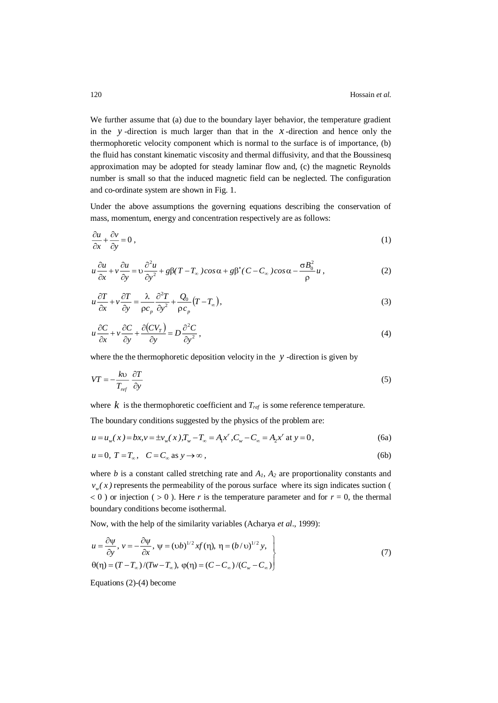We further assume that (a) due to the boundary layer behavior, the temperature gradient in the  $y$ -direction is much larger than that in the  $x$ -direction and hence only the thermophoretic velocity component which is normal to the surface is of importance, (b) the fluid has constant kinematic viscosity and thermal diffusivity, and that the Boussinesq approximation may be adopted for steady laminar flow and, (c) the magnetic Reynolds number is small so that the induced magnetic field can be neglected. The configuration and co-ordinate system are shown in Fig. 1.

Under the above assumptions the governing equations describing the conservation of mass, momentum, energy and concentration respectively are as follows:

$$
\frac{\partial u}{\partial x} + \frac{\partial v}{\partial y} = 0 \tag{1}
$$

$$
u\frac{\partial u}{\partial x} + v\frac{\partial u}{\partial y} = v\frac{\partial^2 u}{\partial y^2} + g\beta(T - T_\infty)\cos\alpha + g\beta^*(C - C_\infty)\cos\alpha - \frac{\sigma B_0^2}{\rho}u\,,\tag{2}
$$

$$
u\frac{\partial T}{\partial x} + v\frac{\partial T}{\partial y} = \frac{\lambda}{\rho c_p} \frac{\partial^2 T}{\partial y^2} + \frac{Q_0}{\rho c_p} (T - T_\infty),\tag{3}
$$

$$
u\frac{\partial C}{\partial x} + v\frac{\partial C}{\partial y} + \frac{\partial (CV_T)}{\partial y} = D\frac{\partial^2 C}{\partial y^2},
$$
\n(4)

where the the thermophoretic deposition velocity in the  $y$ -direction is given by

$$
VT = -\frac{k\upsilon}{T_{ref}} \frac{\partial T}{\partial y} \tag{5}
$$

where  $k$  is the thermophoretic coefficient and  $T_{ref}$  is some reference temperature.

The boundary conditions suggested by the physics of the problem are:

$$
u = u_w(x) = bx, v = \pm v_w(x), T_w - T_{\infty} = A_1 x^r, C_w - C_{\infty} = A_2 x^r \text{ at } y = 0,
$$
 (6a)

$$
u = 0, T = T_{\infty}, C = C_{\infty} \text{ as } y \to \infty,
$$
\n<sup>(6b)</sup>

where  $b$  is a constant called stretching rate and  $A<sub>1</sub>$ ,  $A<sub>2</sub>$  are proportionality constants and  $v_w(x)$  represents the permeability of the porous surface where its sign indicates suction (  $0$  ) or injection (  $> 0$  ). Here *r* is the temperature parameter and for  $r = 0$ , the thermal boundary conditions become isothermal.

Now, with the help of the similarity variables (Acharya *et al*., 1999):

$$
u = \frac{\partial \psi}{\partial y}, \quad v = -\frac{\partial \psi}{\partial x}, \quad \psi = (\upsilon b)^{1/2} x f(\eta), \quad \eta = (b/\upsilon)^{1/2} y,
$$
  

$$
\theta(\eta) = (T - T_{\infty})/(Tw - T_{\infty}), \quad \phi(\eta) = (C - C_{\infty})/(C_w - C_{\infty})
$$
\n(7)

Equations (2)-(4) become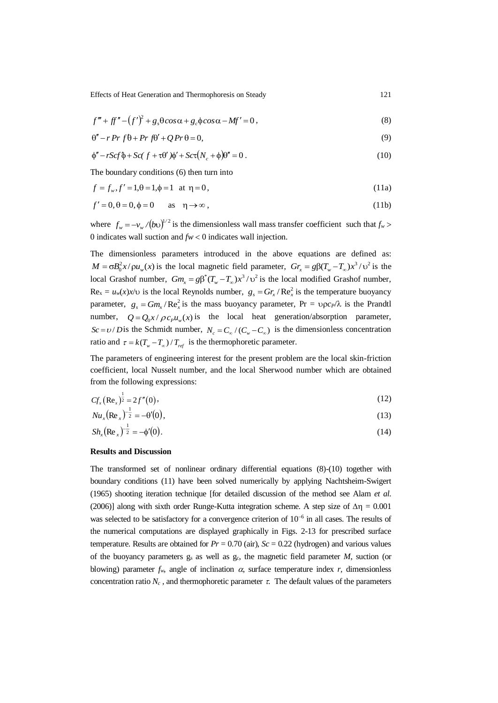Effects of Heat Generation and Thermophoresis on Steady 121

$$
f''' + ff'' - (f')^2 + g_s \theta \cos \alpha + g_c \phi \cos \alpha - Mf' = 0,
$$
\n(8)

$$
\theta'' - r \Pr f \theta + \Pr f \theta' + Q \Pr \theta = 0,\tag{9}
$$

$$
\phi'' - rScf \phi + Sc(f + \tau \theta')\phi' + Sc\tau (N_c + \phi)\theta'' = 0.
$$
\n(10)

The boundary conditions (6) then turn into

$$
f = f_w, f' = 1, \theta = 1, \phi = 1 \text{ at } \eta = 0,
$$
\n(11a)

$$
f'=0, \theta=0, \phi=0 \quad \text{as} \quad \eta \to \infty , \tag{11b}
$$

where  $f_w = -v_w / (bv)^{1/2}$  is the dimensionless wall mass transfer coefficient such that  $f_w$ 0 indicates wall suction and  $fw < 0$  indicates wall injection.

The dimensionless parameters introduced in the above equations are defined as:  $M = \sigma B_0^2 x / \rho u_w(x)$  is the local magnetic field parameter,  $Gr_x = g\beta(T_w - T_\infty)x^3 / v^2$  is the local Grashof number,  $Gm_x = g\beta^*(T_w - T_\infty)x^3/\nu^2$  is the local modified Grashof number,  $\text{Re}_x = u_w(x)x/v$  is the local Reynolds number,  $g_s = Gr_x/Re_x^2$  is the temperature buoyancy parameter,  $g_s = Gm_x / Re_x^2$  is the mass buoyancy parameter,  $Pr = \rho c_P / \lambda$  is the Prandtl number,  $Q = Q_0 x / \rho c_p u_w(x)$  is the local heat generation/absorption parameter,  $Sc = v / D$  is the Schmidt number,  $N_c = C_w / (C_w - C_w)$  is the dimensionless concentration ratio and  $\tau = k(T_w - T_\infty) / T_{ref}$  is the thermophoretic parameter.

The parameters of engineering interest for the present problem are the local skin-friction coefficient, local Nusselt number, and the local Sherwood number which are obtained from the following expressions:

$$
Cf_x(\text{Re}_x)^{\frac{1}{2}} = 2f''(0),\tag{12}
$$

$$
Nu_x(\text{Re}_x)^{-\frac{1}{2}} = -\theta'(0),\tag{13}
$$

$$
Sh_x(\text{Re}_x)^{-\frac{1}{2}} = -\phi'(0). \tag{14}
$$

## **Results and Discussion**

The transformed set of nonlinear ordinary differential equations (8)-(10) together with boundary conditions (11) have been solved numerically by applying Nachtsheim-Swigert (1965) shooting iteration technique [for detailed discussion of the method see Alam *et al.* (2006)] along with sixth order Runge-Kutta integration scheme. A step size of  $\Delta \eta = 0.001$ was selected to be satisfactory for a convergence criterion of  $10^{-6}$  in all cases. The results of the numerical computations are displayed graphically in Figs. 2-13 for prescribed surface temperature. Results are obtained for  $Pr = 0.70$  (air),  $Sc = 0.22$  (hydrogen) and various values of the buoyancy parameters  $g_s$  as well as  $g_c$ , the magnetic field parameter  $M$ , suction (or blowing) parameter  $f_w$ , angle of inclination  $\alpha$ , surface temperature index *r*, dimensionless concentration ratio  $N_c$ , and thermophoretic parameter  $\tau$ . The default values of the parameters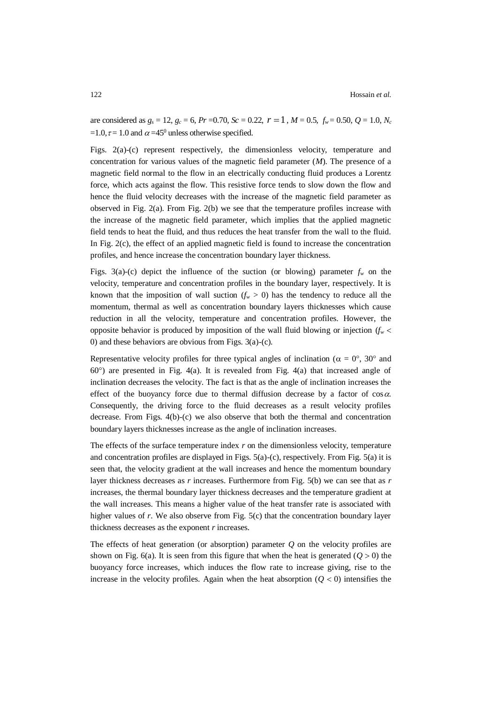are considered as  $g_s = 12$ ,  $g_c = 6$ ,  $Pr = 0.70$ ,  $Sc = 0.22$ ,  $r = 1$ ,  $M = 0.5$ ,  $f_w = 0.50$ ,  $Q = 1.0$ ,  $N_c$  $=1.0$ ,  $\tau = 1.0$  and  $\alpha = 45^{\circ}$  unless otherwise specified.

Figs. 2(a)-(c) represent respectively, the dimensionless velocity, temperature and concentration for various values of the magnetic field parameter (*M*). The presence of a magnetic field normal to the flow in an electrically conducting fluid produces a Lorentz force, which acts against the flow. This resistive force tends to slow down the flow and hence the fluid velocity decreases with the increase of the magnetic field parameter as observed in Fig.  $2(a)$ . From Fig.  $2(b)$  we see that the temperature profiles increase with the increase of the magnetic field parameter, which implies that the applied magnetic field tends to heat the fluid, and thus reduces the heat transfer from the wall to the fluid. In Fig. 2(c), the effect of an applied magnetic field is found to increase the concentration profiles, and hence increase the concentration boundary layer thickness.

Figs. 3(a)-(c) depict the influence of the suction (or blowing) parameter  $f_w$  on the velocity, temperature and concentration profiles in the boundary layer, respectively. It is known that the imposition of wall suction  $(f_w > 0)$  has the tendency to reduce all the momentum, thermal as well as concentration boundary layers thicknesses which cause reduction in all the velocity, temperature and concentration profiles. However, the opposite behavior is produced by imposition of the wall fluid blowing or injection  $(f_w <$ 0) and these behaviors are obvious from Figs. 3(a)-(c).

Representative velocity profiles for three typical angles of inclination ( $\alpha = 0^{\circ}$ , 30° and  $60^{\circ}$ ) are presented in Fig. 4(a). It is revealed from Fig. 4(a) that increased angle of inclination decreases the velocity. The fact is that as the angle of inclination increases the effect of the buoyancy force due to thermal diffusion decrease by a factor of  $\cos \alpha$ . Consequently, the driving force to the fluid decreases as a result velocity profiles decrease. From Figs. 4(b)-(c) we also observe that both the thermal and concentration boundary layers thicknesses increase as the angle of inclination increases.

The effects of the surface temperature index *r* on the dimensionless velocity, temperature and concentration profiles are displayed in Figs. 5(a)-(c), respectively. From Fig. 5(a) it is seen that, the velocity gradient at the wall increases and hence the momentum boundary layer thickness decreases as *r* increases. Furthermore from Fig. 5(b) we can see that as *r* increases, the thermal boundary layer thickness decreases and the temperature gradient at the wall increases. This means a higher value of the heat transfer rate is associated with higher values of *r*. We also observe from Fig. 5(c) that the concentration boundary layer thickness decreases as the exponent *r* increases.

The effects of heat generation (or absorption) parameter *Q* on the velocity profiles are shown on Fig. 6(a). It is seen from this figure that when the heat is generated  $(Q > 0)$  the buoyancy force increases, which induces the flow rate to increase giving, rise to the increase in the velocity profiles. Again when the heat absorption  $(Q < 0)$  intensifies the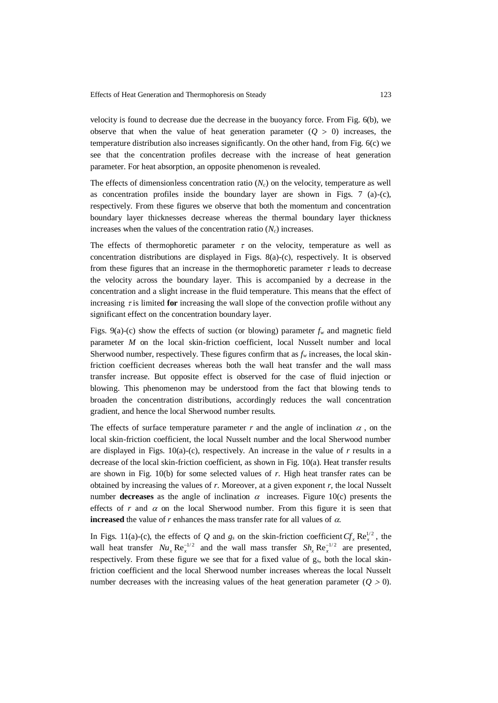velocity is found to decrease due the decrease in the buoyancy force. From Fig. 6(b), we observe that when the value of heat generation parameter  $(Q > 0)$  increases, the temperature distribution also increases significantly. On the other hand, from Fig. 6(c) we see that the concentration profiles decrease with the increase of heat generation parameter. For heat absorption, an opposite phenomenon is revealed.

The effects of dimensionless concentration ratio (*Nc*) on the velocity, temperature as well as concentration profiles inside the boundary layer are shown in Figs.  $7$  (a)-(c), respectively. From these figures we observe that both the momentum and concentration boundary layer thicknesses decrease whereas the thermal boundary layer thickness increases when the values of the concentration ratio  $(N_c)$  increases.

The effects of thermophoretic parameter  $\tau$  on the velocity, temperature as well as concentration distributions are displayed in Figs. 8(a)-(c), respectively. It is observed from these figures that an increase in the thermophoretic parameter  $\tau$  leads to decrease the velocity across the boundary layer. This is accompanied by a decrease in the concentration and a slight increase in the fluid temperature. This means that the effect of increasing  $\tau$  is limited **for** increasing the wall slope of the convection profile without any significant effect on the concentration boundary layer.

Figs. 9(a)-(c) show the effects of suction (or blowing) parameter  $f_w$  and magnetic field parameter *M* on the local skin-friction coefficient, local Nusselt number and local Sherwood number, respectively. These figures confirm that as *f<sup>w</sup>* increases, the local skinfriction coefficient decreases whereas both the wall heat transfer and the wall mass transfer increase. But opposite effect is observed for the case of fluid injection or blowing. This phenomenon may be understood from the fact that blowing tends to broaden the concentration distributions, accordingly reduces the wall concentration gradient, and hence the local Sherwood number results.

The effects of surface temperature parameter  $r$  and the angle of inclination  $\alpha$ , on the local skin-friction coefficient, the local Nusselt number and the local Sherwood number are displayed in Figs. 10(a)-(c), respectively. An increase in the value of *r* results in a decrease of the local skin-friction coefficient, as shown in Fig. 10(a). Heat transfer results are shown in Fig. 10(b) for some selected values of *r*. High heat transfer rates can be obtained by increasing the values of *r*. Moreover, at a given exponent *r*, the local Nusselt number **decreases** as the angle of inclination  $\alpha$  increases. Figure 10(c) presents the effects of *r* and  $\alpha$  on the local Sherwood number. From this figure it is seen that **increased** the value of  $r$  enhances the mass transfer rate for all values of  $\alpha$ .

In Figs. 11(a)-(c), the effects of *Q* and  $g_s$  on the skin-friction coefficient  $Cf_x \text{Re}_x^{1/2}$ , the wall heat transfer  $Nu_x \text{Re}_x^{-1/2}$  and the wall mass transfer  $Sh_x \text{Re}_x^{-1/2}$  are presented, respectively. From these figure we see that for a fixed value of gs, both the local skinfriction coefficient and the local Sherwood number increases whereas the local Nusselt number decreases with the increasing values of the heat generation parameter  $(Q > 0)$ .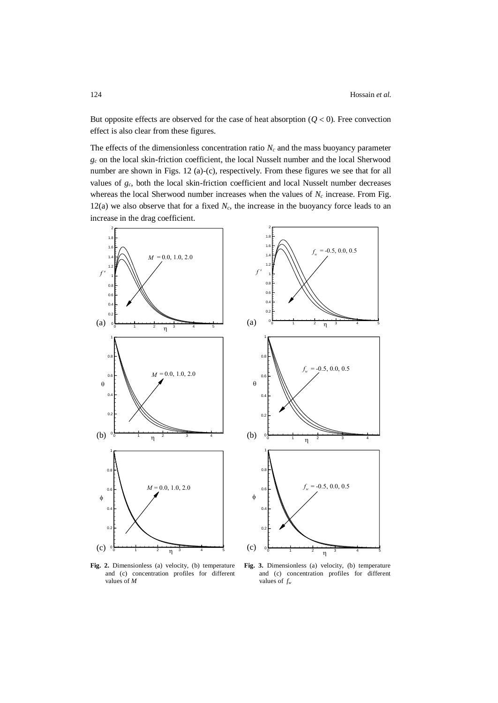But opposite effects are observed for the case of heat absorption  $(Q< 0)$ . Free convection effect is also clear from these figures.

The effects of the dimensionless concentration ratio  $N_c$  and the mass buoyancy parameter *g<sup>c</sup>* on the local skin-friction coefficient, the local Nusselt number and the local Sherwood number are shown in Figs. 12 (a)-(c), respectively. From these figures we see that for all values of *gc*, both the local skin-friction coefficient and local Nusselt number decreases whereas the local Sherwood number increases when the values of  $N_c$  increase. From Fig. 12(a) we also observe that for a fixed  $N_c$ , the increase in the buoyancy force leads to an increase in the drag coefficient.



**Fig. 2.** Dimensionless (a) velocity, (b) temperature and (c) concentration profiles for different values of *M*

**Fig. 3.** Dimensionless (a) velocity, (b) temperature and (c) concentration profiles for different values of *f<sup>w</sup>*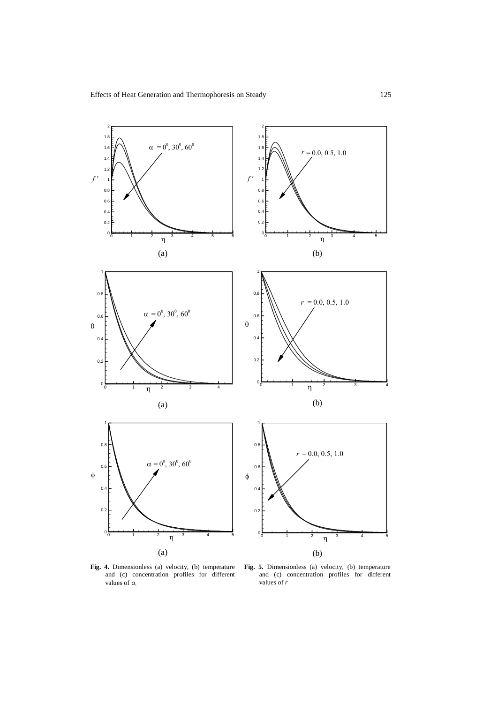

**Fig. 4.** Dimensionless (a) velocity, (b) temperature and (c) concentration profiles for different values of  $\alpha$ 

**Fig. 5.** Dimensionless (a) velocity, (b) temperature and (c) concentration profiles for different values of *r*.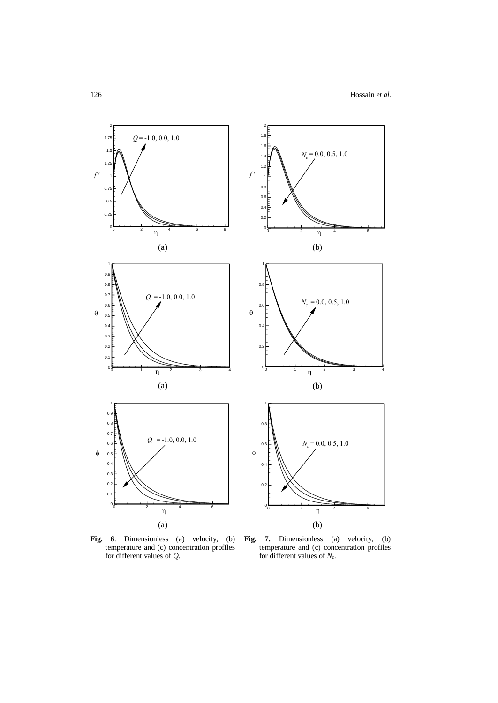

**Fig. 6**. Dimensionless (a) velocity, (b) temperature and (c) concentration profiles for different values of *Q*.

**Fig. 7.** Dimensionless (a) velocity, (b) temperature and (c) concentration profiles for different values of *Nc*.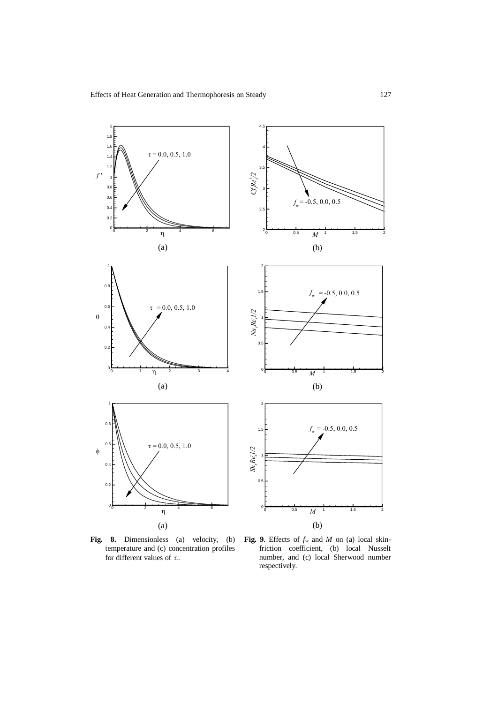

**Fig. 8.** Dimensionless (a) velocity, (b) temperature and (c) concentration profiles for different values of  $\tau$ .

**Fig. 9**. Effects of *f<sup>w</sup>* and *M* on (a) local skinfriction coefficient, (b) local Nusselt number, and (c) local Sherwood number respectively.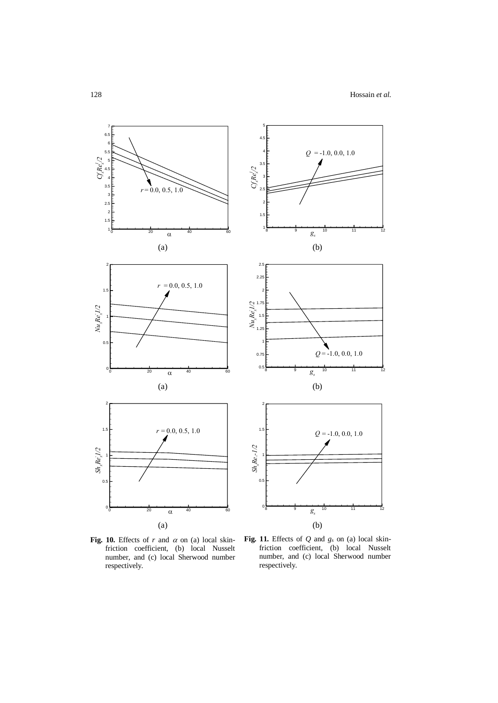

Fig. 10. Effects of  $r$  and  $\alpha$  on (a) local skinfriction coefficient, (b) local Nusselt number, and (c) local Sherwood number respectively.

**Fig. 11.** Effects of *Q* and *g<sup>s</sup>* on (a) local skinfriction coefficient, (b) local Nusselt number, and (c) local Sherwood number respectively.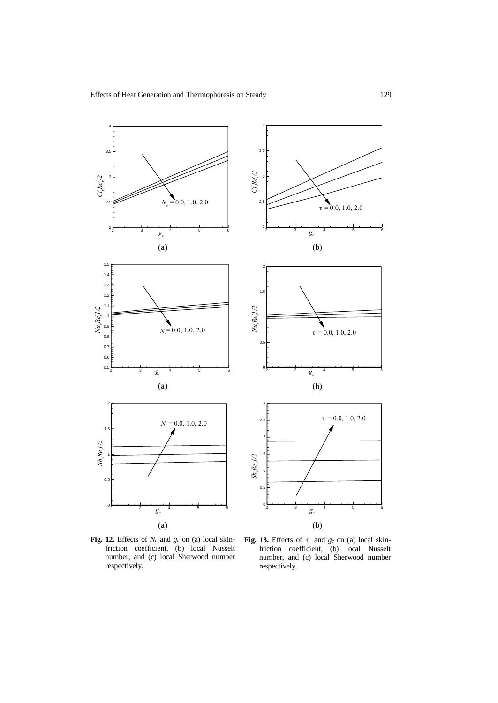

**Fig. 12.** Effects of *N<sup>c</sup>* and *g<sup>c</sup>* on (a) local skinfriction coefficient, (b) local Nusselt number, and (c) local Sherwood number respectively.

Fig. 13. Effects of  $\tau$  and  $g_c$  on (a) local skinfriction coefficient, (b) local Nusselt number, and (c) local Sherwood number respectively.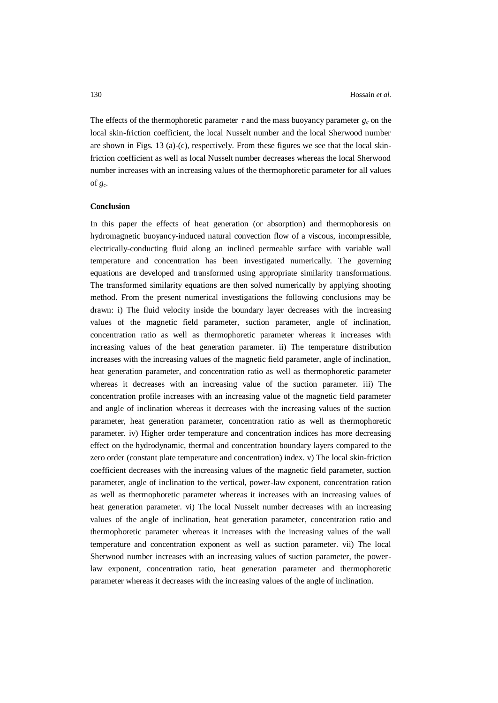The effects of the thermophoretic parameter  $\tau$  and the mass buoyancy parameter  $g_c$  on the local skin-friction coefficient, the local Nusselt number and the local Sherwood number are shown in Figs. 13 (a)-(c), respectively. From these figures we see that the local skinfriction coefficient as well as local Nusselt number decreases whereas the local Sherwood number increases with an increasing values of the thermophoretic parameter for all values of  $g_c$ .

## **Conclusion**

In this paper the effects of heat generation (or absorption) and thermophoresis on hydromagnetic buoyancy-induced natural convection flow of a viscous, incompressible, electrically-conducting fluid along an inclined permeable surface with variable wall temperature and concentration has been investigated numerically. The governing equations are developed and transformed using appropriate similarity transformations. The transformed similarity equations are then solved numerically by applying shooting method. From the present numerical investigations the following conclusions may be drawn: i) The fluid velocity inside the boundary layer decreases with the increasing values of the magnetic field parameter, suction parameter, angle of inclination, concentration ratio as well as thermophoretic parameter whereas it increases with increasing values of the heat generation parameter. ii) The temperature distribution increases with the increasing values of the magnetic field parameter, angle of inclination, heat generation parameter, and concentration ratio as well as thermophoretic parameter whereas it decreases with an increasing value of the suction parameter. iii) The concentration profile increases with an increasing value of the magnetic field parameter and angle of inclination whereas it decreases with the increasing values of the suction parameter, heat generation parameter, concentration ratio as well as thermophoretic parameter. iv) Higher order temperature and concentration indices has more decreasing effect on the hydrodynamic, thermal and concentration boundary layers compared to the zero order (constant plate temperature and concentration) index. v) The local skin-friction coefficient decreases with the increasing values of the magnetic field parameter, suction parameter, angle of inclination to the vertical, power-law exponent, concentration ration as well as thermophoretic parameter whereas it increases with an increasing values of heat generation parameter. vi) The local Nusselt number decreases with an increasing values of the angle of inclination, heat generation parameter, concentration ratio and thermophoretic parameter whereas it increases with the increasing values of the wall temperature and concentration exponent as well as suction parameter. vii) The local Sherwood number increases with an increasing values of suction parameter, the powerlaw exponent, concentration ratio, heat generation parameter and thermophoretic parameter whereas it decreases with the increasing values of the angle of inclination.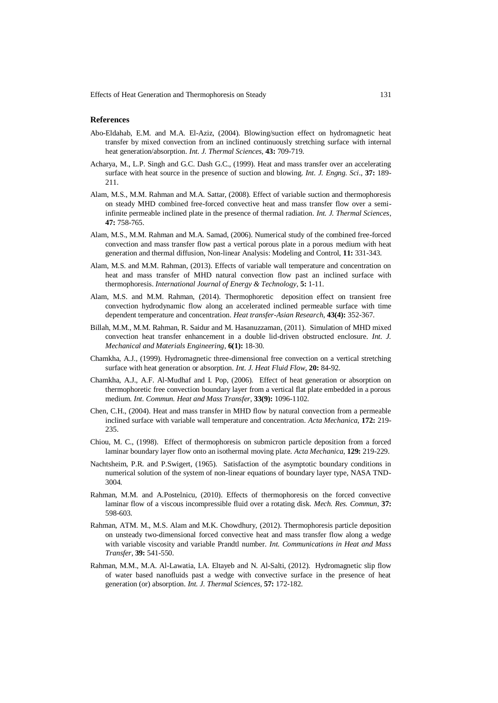Effects of Heat Generation and Thermophoresis on Steady 131

#### **References**

- Abo-Eldahab, E.M. and M.A. El-Aziz, (2004). Blowing/suction effect on hydromagnetic heat transfer by mixed convection from an inclined continuously stretching surface with internal heat generation/absorption. *Int. J. Thermal Sciences*, **43:** 709-719.
- Acharya, M., L.P. Singh and G.C. Dash G.C., (1999). Heat and mass transfer over an accelerating surface with heat source in the presence of suction and blowing. *Int. J. Engng. Sci*., **37:** 189- 211.
- Alam, M.S., M.M. Rahman and M.A. Sattar, (2008). Effect of variable suction and thermophoresis on steady MHD combined free-forced convective heat and mass transfer flow over a semiinfinite permeable inclined plate in the presence of thermal radiation. *Int. J. Thermal Sciences*, **47:** 758-765.
- Alam, M.S., M.M. Rahman and M.A. Samad, (2006). Numerical study of the combined free-forced convection and mass transfer flow past a vertical porous plate in a porous medium with heat generation and thermal diffusion, Non-linear Analysis: Modeling and Control, **11:** 331-343.
- Alam, M.S. and M.M. Rahman, (2013). Effects of variable wall temperature and concentration on heat and mass transfer of MHD natural convection flow past an inclined surface with thermophoresis. *International Journal of Energy & Technology*, **5:** 1-11.
- Alam, M.S. and M.M. Rahman, (2014). Thermophoretic deposition effect on transient free convection hydrodynamic flow along an accelerated inclined permeable surface with time dependent temperature and concentration. *Heat transfer-Asian Research*, **43(4):** 352-367.
- Billah, M.M., M.M. Rahman, R. Saidur and M. Hasanuzzaman, (2011). Simulation of MHD mixed convection heat transfer enhancement in a double lid-driven obstructed enclosure. *Int. J. Mechanical and Materials Engineering*, **6(1):** 18-30.
- Chamkha, A.J., (1999). Hydromagnetic three-dimensional free convection on a vertical stretching surface with heat generation or absorption. *Int. J. Heat Fluid Flow*, **20:** 84-92.
- Chamkha, A.J., A.F. Al-Mudhaf and I. Pop, (2006). Effect of heat generation or absorption on thermophoretic free convection boundary layer from a vertical flat plate embedded in a porous medium. *Int. Commun. Heat and Mass Transfer*, **33(9):** 1096-1102.
- Chen, C.H., (2004). Heat and mass transfer in MHD flow by natural convection from a permeable inclined surface with variable wall temperature and concentration. *Acta Mechanica*, **172:** 219- 235.
- Chiou, M. C., (1998). Effect of thermophoresis on submicron particle deposition from a forced laminar boundary layer flow onto an isothermal moving plate. *Acta Mechanica*, **129:** 219-229.
- Nachtsheim, P.R. and P.Swigert, (1965). Satisfaction of the asymptotic boundary conditions in numerical solution of the system of non-linear equations of boundary layer type, NASA TND-3004.
- Rahman, M.M. and A.Postelnicu, (2010). Effects of thermophoresis on the forced convective laminar flow of a viscous incompressible fluid over a rotating disk. *Mech. Res. Commun*, **37:** 598-603.
- Rahman, ATM. M., M.S. Alam and M.K. Chowdhury, (2012). Thermophoresis particle deposition on unsteady two-dimensional forced convective heat and mass transfer flow along a wedge with variable viscosity and variable Prandtl number. *Int. Communications in Heat and Mass Transfer*, **39:** 541-550.
- Rahman, M.M., M.A. Al-Lawatia, I.A. Eltayeb and N. Al-Salti, (2012). Hydromagnetic slip flow of water based nanofluids past a wedge with convective surface in the presence of heat generation (or) absorption. *Int. J. Thermal Sciences*, **57:** 172-182.